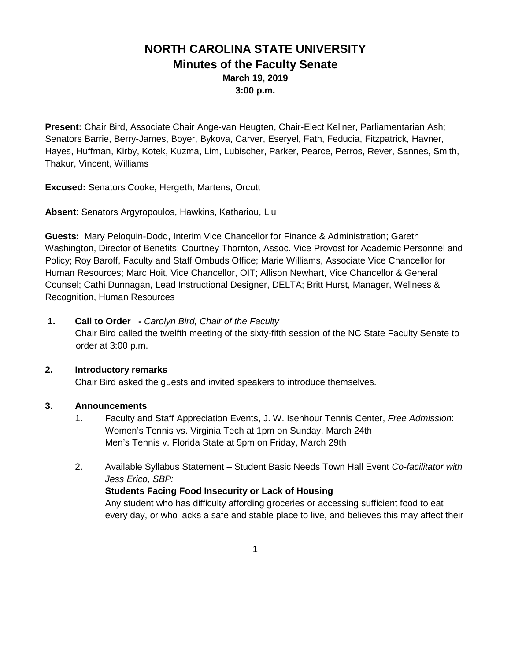# **NORTH CAROLINA STATE UNIVERSITY Minutes of the Faculty Senate March 19, 2019 3:00 p.m.**

**Present:** Chair Bird, Associate Chair Ange-van Heugten, Chair-Elect Kellner, Parliamentarian Ash; Senators Barrie, Berry-James, Boyer, Bykova, Carver, Eseryel, Fath, Feducia, Fitzpatrick, Havner, Hayes, Huffman, Kirby, Kotek, Kuzma, Lim, Lubischer, Parker, Pearce, Perros, Rever, Sannes, Smith, Thakur, Vincent, Williams

**Excused:** Senators Cooke, Hergeth, Martens, Orcutt

**Absent**: Senators Argyropoulos, Hawkins, Kathariou, Liu

**Guests:** Mary Peloquin-Dodd, Interim Vice Chancellor for Finance & Administration; Gareth Washington, Director of Benefits; Courtney Thornton, Assoc. Vice Provost for Academic Personnel and Policy; Roy Baroff, Faculty and Staff Ombuds Office; Marie Williams, Associate Vice Chancellor for Human Resources; Marc Hoit, Vice Chancellor, OIT; Allison Newhart, Vice Chancellor & General Counsel; Cathi Dunnagan, Lead Instructional Designer, DELTA; Britt Hurst, Manager, Wellness & Recognition, Human Resources

**1. Call to Order -** *Carolyn Bird, Chair of the Faculty* Chair Bird called the twelfth meeting of the sixty-fifth session of the NC State Faculty Senate to order at 3:00 p.m.

#### **2. Introductory remarks**

Chair Bird asked the guests and invited speakers to introduce themselves.

#### **3. Announcements**

- 1. Faculty and Staff Appreciation Events, J. W. Isenhour Tennis Center, *Free Admission*: Women's Tennis vs. Virginia Tech at 1pm on Sunday, March 24th Men's Tennis v. Florida State at 5pm on Friday, March 29th
- 2. Available Syllabus Statement Student Basic Needs Town Hall Event *Co-facilitator with Jess Erico, SBP:*

#### **Students Facing Food Insecurity or Lack of Housing**

Any student who has difficulty affording groceries or accessing sufficient food to eat every day, or who lacks a safe and stable place to live, and believes this may affect their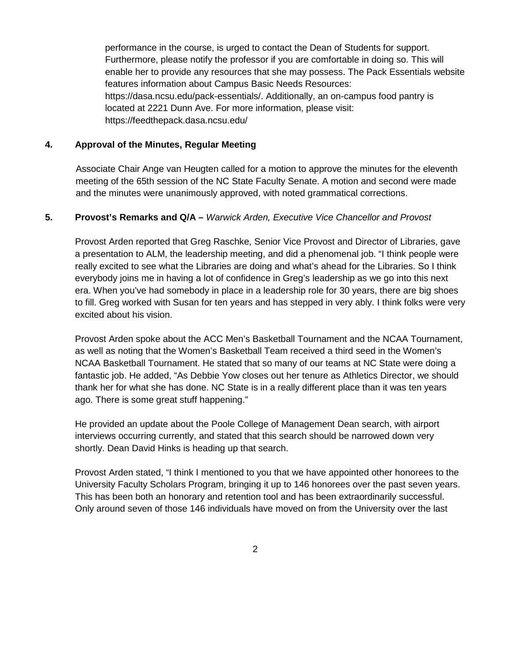performance in the course, is urged to contact the Dean of Students for support. Furthermore, please notify the professor if you are comfortable in doing so. This will enable her to provide any resources that she may possess. The Pack Essentials website features information about Campus Basic Needs Resources: [https://dasa.ncsu.edu/pack-essentials/.](https://dasa.ncsu.edu/pack-essentials/) Additionally, an on-campus food pantry is located at 2221 Dunn Ave. For more information, please visit: <https://feedthepack.dasa.ncsu.edu/>

#### **4. Approval of the Minutes, Regular Meeting**

 Associate Chair Ange van Heugten called for a motion to approve the minutes for the eleventh meeting of the 65th session of the NC State Faculty Senate. A motion and second were made and the minutes were unanimously approved, with noted grammatical corrections.

### **5. Provost's Remarks and Q/A –** *Warwick Arden, Executive Vice Chancellor and Provost*

Provost Arden reported that Greg Raschke, Senior Vice Provost and Director of Libraries, gave a presentation to ALM, the leadership meeting, and did a phenomenal job. "I think people were really excited to see what the Libraries are doing and what's ahead for the Libraries. So I think everybody joins me in having a lot of confidence in Greg's leadership as we go into this next era. When you've had somebody in place in a leadership role for 30 years, there are big shoes to fill. Greg worked with Susan for ten years and has stepped in very ably. I think folks were very excited about his vision.

Provost Arden spoke about the ACC Men's Basketball Tournament and the NCAA Tournament, as well as noting that the Women's Basketball Team received a third seed in the Women's NCAA Basketball Tournament. He stated that so many of our teams at NC State were doing a fantastic job. He added, "As Debbie Yow closes out her tenure as Athletics Director, we should thank her for what she has done. NC State is in a really different place than it was ten years ago. There is some great stuff happening."

He provided an update about the Poole College of Management Dean search, with airport interviews occurring currently, and stated that this search should be narrowed down very shortly. Dean David Hinks is heading up that search.

Provost Arden stated, "I think I mentioned to you that we have appointed other honorees to the University Faculty Scholars Program, bringing it up to 146 honorees over the past seven years. This has been both an honorary and retention tool and has been extraordinarily successful. Only around seven of those 146 individuals have moved on from the University over the last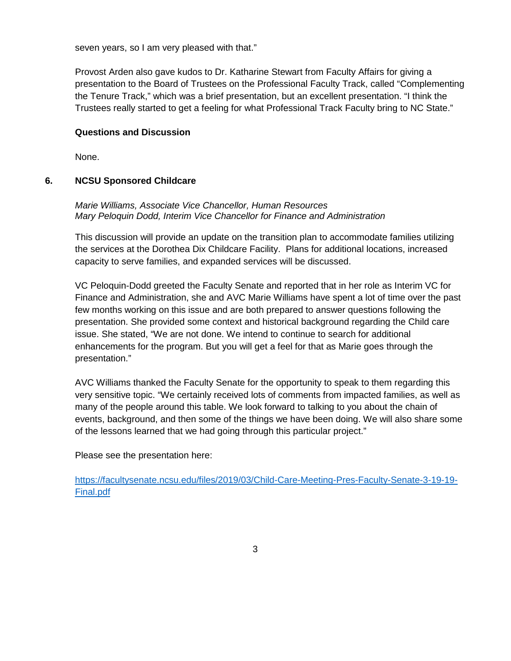seven years, so I am very pleased with that."

Provost Arden also gave kudos to Dr. Katharine Stewart from Faculty Affairs for giving a presentation to the Board of Trustees on the Professional Faculty Track, called "Complementing the Tenure Track," which was a brief presentation, but an excellent presentation. "I think the Trustees really started to get a feeling for what Professional Track Faculty bring to NC State."

### **Questions and Discussion**

None.

#### **6. NCSU Sponsored Childcare**

### *Marie Williams, Associate Vice Chancellor, Human Resources Mary Peloquin Dodd, Interim Vice Chancellor for Finance and Administration*

This discussion will provide an update on the transition plan to accommodate families utilizing the services at the Dorothea Dix Childcare Facility. Plans for additional locations, increased capacity to serve families, and expanded services will be discussed.

VC Peloquin-Dodd greeted the Faculty Senate and reported that in her role as Interim VC for Finance and Administration, she and AVC Marie Williams have spent a lot of time over the past few months working on this issue and are both prepared to answer questions following the presentation. She provided some context and historical background regarding the Child care issue. She stated, "We are not done. We intend to continue to search for additional enhancements for the program. But you will get a feel for that as Marie goes through the presentation."

AVC Williams thanked the Faculty Senate for the opportunity to speak to them regarding this very sensitive topic. "We certainly received lots of comments from impacted families, as well as many of the people around this table. We look forward to talking to you about the chain of events, background, and then some of the things we have been doing. We will also share some of the lessons learned that we had going through this particular project."

Please see the presentation here:

[https://facultysenate.ncsu.edu/files/2019/03/Child-Care-Meeting-Pres-Faculty-Senate-3-19-19-](https://facultysenate.ncsu.edu/files/2019/03/Child-Care-Meeting-Pres-Faculty-Senate-3-19-19-Final.pdf) [Final.pdf](https://facultysenate.ncsu.edu/files/2019/03/Child-Care-Meeting-Pres-Faculty-Senate-3-19-19-Final.pdf)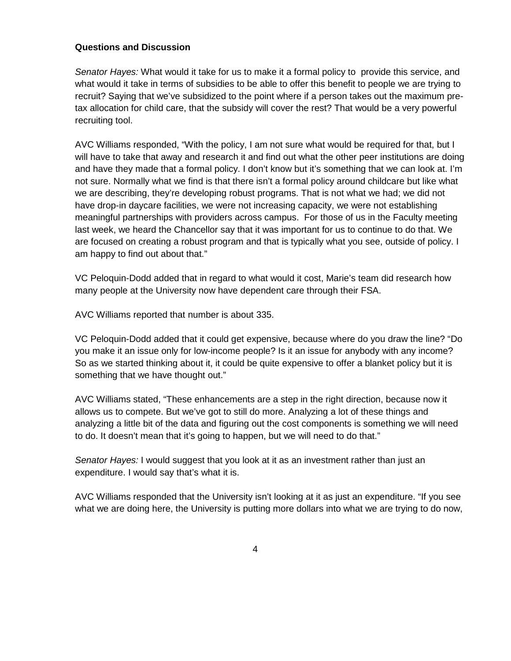### **Questions and Discussion**

*Senator Hayes:* What would it take for us to make it a formal policy to provide this service, and what would it take in terms of subsidies to be able to offer this benefit to people we are trying to recruit? Saying that we've subsidized to the point where if a person takes out the maximum pretax allocation for child care, that the subsidy will cover the rest? That would be a very powerful recruiting tool.

AVC Williams responded, "With the policy, I am not sure what would be required for that, but I will have to take that away and research it and find out what the other peer institutions are doing and have they made that a formal policy. I don't know but it's something that we can look at. I'm not sure. Normally what we find is that there isn't a formal policy around childcare but like what we are describing, they're developing robust programs. That is not what we had; we did not have drop-in daycare facilities, we were not increasing capacity, we were not establishing meaningful partnerships with providers across campus. For those of us in the Faculty meeting last week, we heard the Chancellor say that it was important for us to continue to do that. We are focused on creating a robust program and that is typically what you see, outside of policy. I am happy to find out about that."

VC Peloquin-Dodd added that in regard to what would it cost, Marie's team did research how many people at the University now have dependent care through their FSA.

AVC Williams reported that number is about 335.

VC Peloquin-Dodd added that it could get expensive, because where do you draw the line? "Do you make it an issue only for low-income people? Is it an issue for anybody with any income? So as we started thinking about it, it could be quite expensive to offer a blanket policy but it is something that we have thought out."

AVC Williams stated, "These enhancements are a step in the right direction, because now it allows us to compete. But we've got to still do more. Analyzing a lot of these things and analyzing a little bit of the data and figuring out the cost components is something we will need to do. It doesn't mean that it's going to happen, but we will need to do that."

*Senator Hayes:* I would suggest that you look at it as an investment rather than just an expenditure. I would say that's what it is.

AVC Williams responded that the University isn't looking at it as just an expenditure. "If you see what we are doing here, the University is putting more dollars into what we are trying to do now,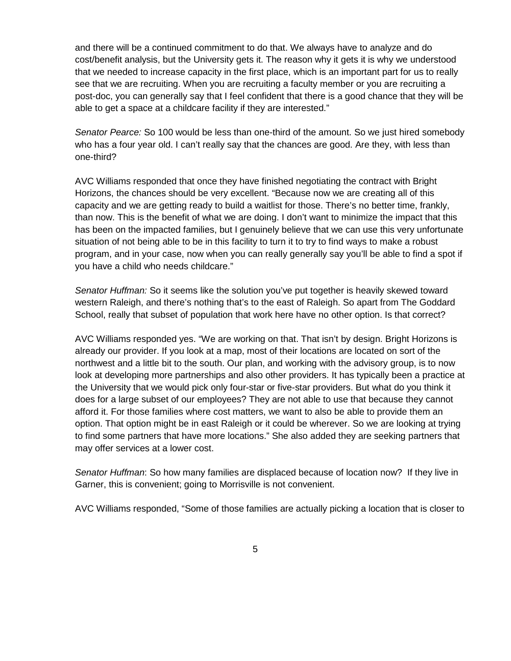and there will be a continued commitment to do that. We always have to analyze and do cost/benefit analysis, but the University gets it. The reason why it gets it is why we understood that we needed to increase capacity in the first place, which is an important part for us to really see that we are recruiting. When you are recruiting a faculty member or you are recruiting a post-doc, you can generally say that I feel confident that there is a good chance that they will be able to get a space at a childcare facility if they are interested."

*Senator Pearce:* So 100 would be less than one-third of the amount. So we just hired somebody who has a four year old. I can't really say that the chances are good. Are they, with less than one-third?

AVC Williams responded that once they have finished negotiating the contract with Bright Horizons, the chances should be very excellent. "Because now we are creating all of this capacity and we are getting ready to build a waitlist for those. There's no better time, frankly, than now. This is the benefit of what we are doing. I don't want to minimize the impact that this has been on the impacted families, but I genuinely believe that we can use this very unfortunate situation of not being able to be in this facility to turn it to try to find ways to make a robust program, and in your case, now when you can really generally say you'll be able to find a spot if you have a child who needs childcare."

*Senator Huffman:* So it seems like the solution you've put together is heavily skewed toward western Raleigh, and there's nothing that's to the east of Raleigh. So apart from The Goddard School, really that subset of population that work here have no other option. Is that correct?

AVC Williams responded yes. "We are working on that. That isn't by design. Bright Horizons is already our provider. If you look at a map, most of their locations are located on sort of the northwest and a little bit to the south. Our plan, and working with the advisory group, is to now look at developing more partnerships and also other providers. It has typically been a practice at the University that we would pick only four-star or five-star providers. But what do you think it does for a large subset of our employees? They are not able to use that because they cannot afford it. For those families where cost matters, we want to also be able to provide them an option. That option might be in east Raleigh or it could be wherever. So we are looking at trying to find some partners that have more locations." She also added they are seeking partners that may offer services at a lower cost.

*Senator Huffman*: So how many families are displaced because of location now? If they live in Garner, this is convenient; going to Morrisville is not convenient.

AVC Williams responded, "Some of those families are actually picking a location that is closer to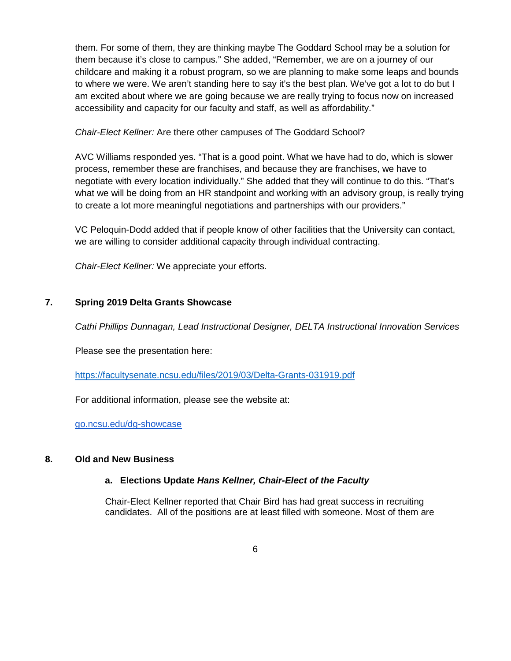them. For some of them, they are thinking maybe The Goddard School may be a solution for them because it's close to campus." She added, "Remember, we are on a journey of our childcare and making it a robust program, so we are planning to make some leaps and bounds to where we were. We aren't standing here to say it's the best plan. We've got a lot to do but I am excited about where we are going because we are really trying to focus now on increased accessibility and capacity for our faculty and staff, as well as affordability."

## *Chair-Elect Kellner:* Are there other campuses of The Goddard School?

AVC Williams responded yes. "That is a good point. What we have had to do, which is slower process, remember these are franchises, and because they are franchises, we have to negotiate with every location individually." She added that they will continue to do this. "That's what we will be doing from an HR standpoint and working with an advisory group, is really trying to create a lot more meaningful negotiations and partnerships with our providers."

VC Peloquin-Dodd added that if people know of other facilities that the University can contact, we are willing to consider additional capacity through individual contracting.

*Chair-Elect Kellner:* We appreciate your efforts.

## **7. Spring 2019 Delta Grants Showcase**

*Cathi Phillips Dunnagan, Lead Instructional Designer, DELTA Instructional Innovation Services*

Please see the presentation here:

<https://facultysenate.ncsu.edu/files/2019/03/Delta-Grants-031919.pdf>

For additional information, please see the website at:

[go.ncsu.edu/dg-showcase](http://go.ncsu.edu/dg-showcase)

## **8. Old and New Business**

## **a. Elections Update** *Hans Kellner, Chair-Elect of the Faculty*

Chair-Elect Kellner reported that Chair Bird has had great success in recruiting candidates. All of the positions are at least filled with someone. Most of them are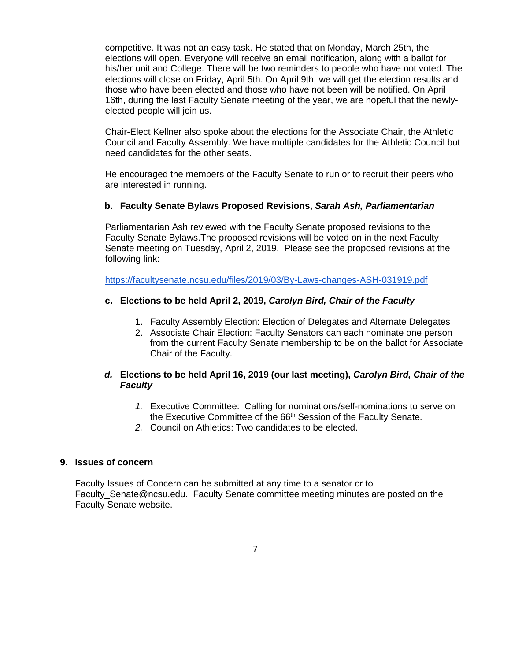competitive. It was not an easy task. He stated that on Monday, March 25th, the elections will open. Everyone will receive an email notification, along with a ballot for his/her unit and College. There will be two reminders to people who have not voted. The elections will close on Friday, April 5th. On April 9th, we will get the election results and those who have been elected and those who have not been will be notified. On April 16th, during the last Faculty Senate meeting of the year, we are hopeful that the newlyelected people will join us.

Chair-Elect Kellner also spoke about the elections for the Associate Chair, the Athletic Council and Faculty Assembly. We have multiple candidates for the Athletic Council but need candidates for the other seats.

He encouraged the members of the Faculty Senate to run or to recruit their peers who are interested in running.

#### **b. Faculty Senate Bylaws Proposed Revisions,** *Sarah Ash, Parliamentarian*

Parliamentarian Ash reviewed with the Faculty Senate proposed revisions to the Faculty Senate Bylaws.The proposed revisions will be voted on in the next Faculty Senate meeting on Tuesday, April 2, 2019. Please see the proposed revisions at the following link:

<https://facultysenate.ncsu.edu/files/2019/03/By-Laws-changes-ASH-031919.pdf>

#### **c. Elections to be held April 2, 2019,** *Carolyn Bird, Chair of the Faculty*

- 1. Faculty Assembly Election: Election of Delegates and Alternate Delegates
- 2. Associate Chair Election: Faculty Senators can each nominate one person from the current Faculty Senate membership to be on the ballot for Associate Chair of the Faculty.

## *d.* **Elections to be held April 16, 2019 (our last meeting),** *Carolyn Bird, Chair of the Faculty*

- *1.* Executive Committee: Calling for nominations/self-nominations to serve on the Executive Committee of the 66<sup>th</sup> Session of the Faculty Senate.
- *2.* Council on Athletics: Two candidates to be elected.

#### **9. Issues of concern**

Faculty Issues of Concern can be submitted at any time to a senator or to Faculty\_Senate@ncsu.edu. Faculty Senate committee meeting minutes are posted on the Faculty Senate website.